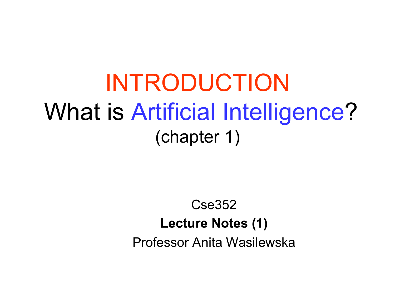# INTRODUCTION What is Artificial Intelligence? (chapter 1)

#### Cse352 **Lecture Notes (1)**  Professor Anita Wasilewska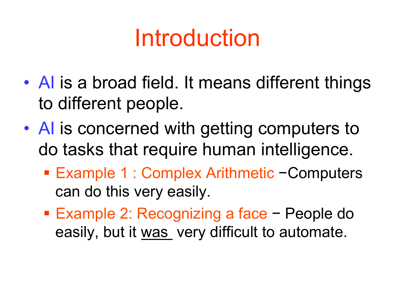# Introduction

- A is a broad field. It means different things to different people.
- AI is concerned with getting computers to do tasks that require human intelligence.
	- § Example 1 : Complex Arithmetic −Computers can do this very easily.
	- § Example 2: Recognizing a face − People do easily, but it was very difficult to automate.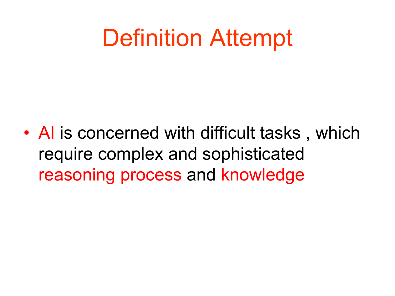# Definition Attempt

• A is concerned with difficult tasks, which require complex and sophisticated reasoning process and knowledge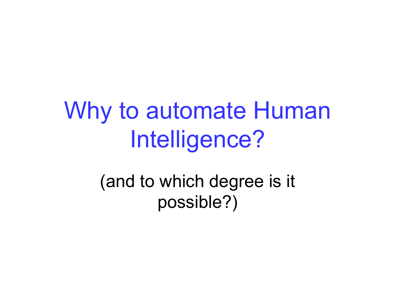# Why to automate Human Intelligence?

(and to which degree is it possible?)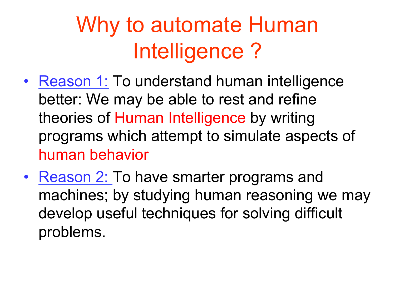# Why to automate Human Intelligence ?

- Reason 1: To understand human intelligence better: We may be able to rest and refine theories of Human Intelligence by writing programs which attempt to simulate aspects of human behavior
- Reason 2: To have smarter programs and machines; by studying human reasoning we may develop useful techniques for solving difficult problems.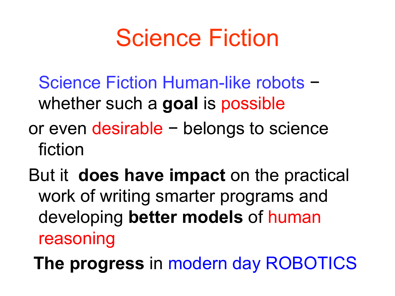# Science Fiction

- Science Fiction Human-like robots − whether such a **goal** is possible
- or even desirable − belongs to science fiction
- But it **does have impact** on the practical work of writing smarter programs and developing **better models** of human reasoning
	- **The progress** in modern day ROBOTICS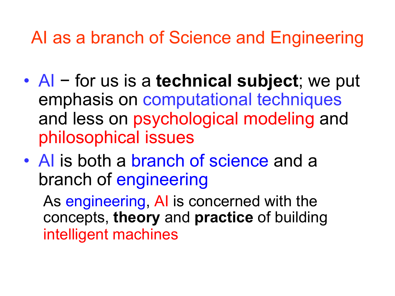AI as a branch of Science and Engineering

- AI − for us is a **technical subject**; we put emphasis on computational techniques and less on psychological modeling and philosophical issues
- Al is both a branch of science and a branch of engineering

As engineering, AI is concerned with the concepts, **theory** and **practice** of building intelligent machines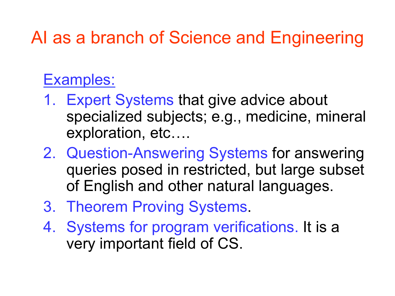#### AI as a branch of Science and Engineering

#### Examples:

- 1. Expert Systems that give advice about specialized subjects; e.g., medicine, mineral exploration, etc….
- 2. Question-Answering Systems for answering queries posed in restricted, but large subset of English and other natural languages.
- 3. Theorem Proving Systems.
- 4. Systems for program verifications. It is a very important field of CS.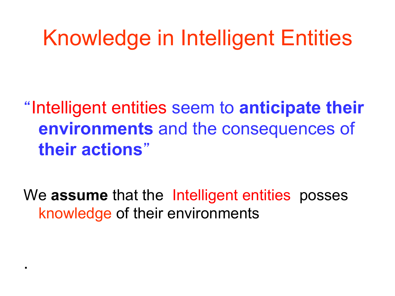## Knowledge in Intelligent Entities

"Intelligent entities seem to **anticipate their environments** and the consequences of **their actions**"

We **assume** that the Intelligent entities posses knowledge of their environments

.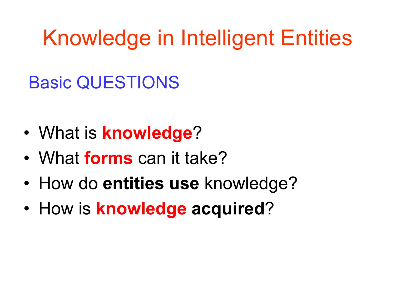Knowledge in Intelligent Entities

### Basic QUESTIONS

- What is **knowledge**?
- What **forms** can it take?
- How do **entities use** knowledge?
- How is **knowledge acquired**?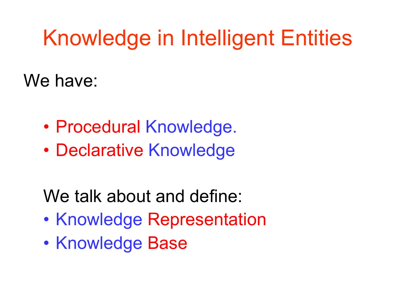## Knowledge in Intelligent Entities

We have:

- Procedural Knowledge.
- Declarative Knowledge

We talk about and define:

- Knowledge Representation
- Knowledge Base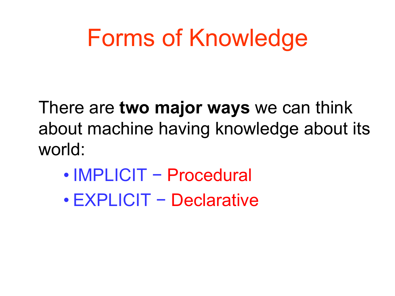# Forms of Knowledge

There are **two major ways** we can think about machine having knowledge about its world:

- IMPLICIT Procedural
- EXPLICIT − Declarative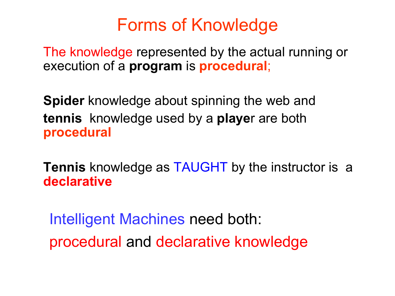#### Forms of Knowledge

The knowledge represented by the actual running or execution of a **program** is **procedural**;

**Spider** knowledge about spinning the web and **tennis** knowledge used by a **playe**r are both **procedural** 

**Tennis** knowledge as TAUGHT by the instructor is a **declarative** 

 Intelligent Machines need both: procedural and declarative knowledge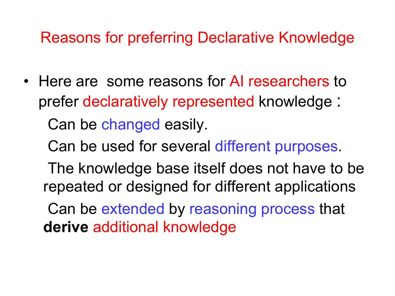#### Reasons for preferring Declarative Knowledge

• Here are some reasons for AI researchers to prefer declaratively represented knowledge :

Can be changed easily.

Can be used for several different purposes.

 The knowledge base itself does not have to be repeated or designed for different applications

 Can be extended by reasoning process that **derive** additional knowledge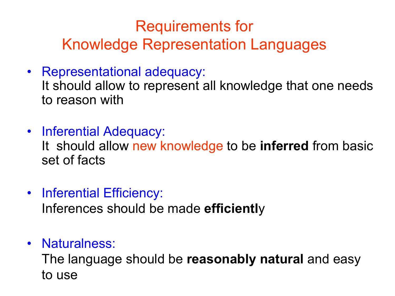#### Requirements for Knowledge Representation Languages

- Representational adequacy: It should allow to represent all knowledge that one needs to reason with
- Inferential Adequacy: It should allow new knowledge to be **inferred** from basic set of facts
- Inferential Efficiency: Inferences should be made **efficientl**y
- Naturalness:

The language should be **reasonably natural** and easy to use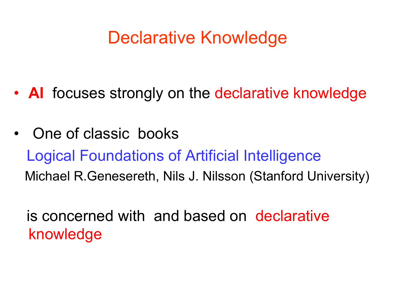#### Declarative Knowledge

- **AI** focuses strongly on the declarative knowledge
- One of classic books Logical Foundations of Artificial Intelligence Michael R.Genesereth, Nils J. Nilsson (Stanford University)

 is concerned with and based on declarative knowledge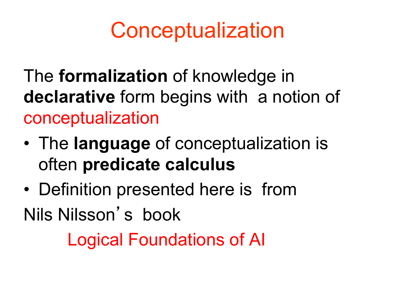## **Conceptualization**

The **formalization** of knowledge in **declarative** form begins with a notion of conceptualization

- The **language** of conceptualization is often **predicate calculus**
- Definition presented here is from Nils Nilsson's book

Logical Foundations of AI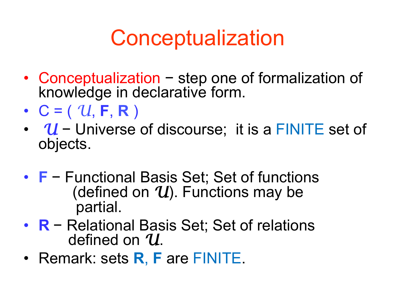## **Conceptualization**

- Conceptualization − step one of formalization of knowledge in declarative form.
- $\cdot$  **C** = ( U, **F**, **R** )
- *U* − Universe of discourse; it is a FINITE set of objects.
- **<sup>F</sup>** <sup>−</sup> Functional Basis Set; Set of functions (defined on *U*). Functions may be partial.
- **R** − Relational Basis Set; Set of relations defined on *U*.
- Remark: sets **R**, **F** are FINITE.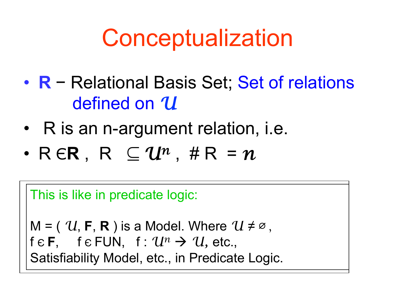# **Conceptualization**

- **R** − Relational Basis Set; Set of relations defined on *U*
- R is an n-argument relation, i.e.
- R Є**R** , R ⊆ *Un* , # R= *n*

This is like in predicate logic:

 $M = (U, F, R)$  is a Model. Where  $U \neq \emptyset$ , f  $\epsilon$  **F**, f  $\epsilon$  FUN, f :  $\mathcal{U}^n \to \mathcal{U}$ , etc., Satisfiability Model, etc., in Predicate Logic.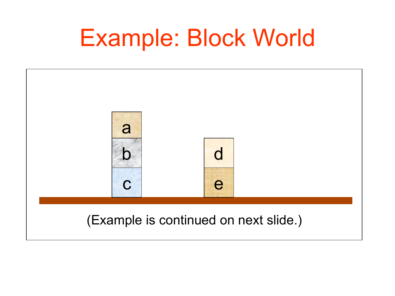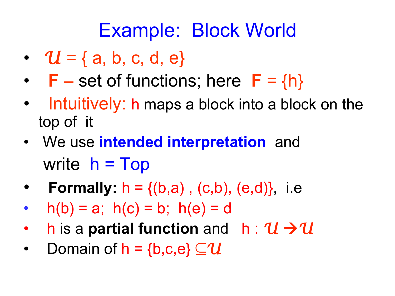- $U = \{a, b, c, d, e\}$
- $\mathsf{F}$  set of functions; here  $\mathsf{F} = \{\mathsf{h}\}\$
- Intuitively: h maps a block into a block on the top of it
- We use **intended interpretation** and write  $h = Top$
- **Formally:**  $h = \{(b,a), (c,b), (e,d)\},\$ i.e
- $h(b) = a$ ;  $h(c) = b$ ;  $h(e) = d$
- h is a **partial function** and  $h: U \rightarrow U$
- Domain of  $h = \{b,c,e\} \subseteq U$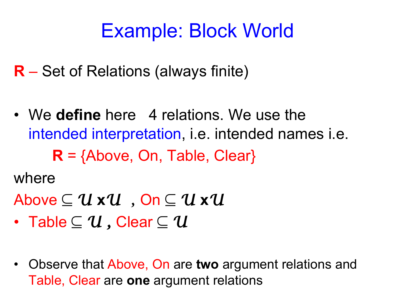**R** – Set of Relations (always finite)

• We **define** here 4 relations. We use the intended interpretation, i.e. intended names i.e.  $R = \{Above, On, Table, Clear\}$ 

where

- Above ⊆ *U* **x***U ,* On ⊆ *U* **x***U*
- Table ⊆ *U ,* Clear ⊆ *U*
- Observe that Above, On are **two** argument relations and Table, Clear are **one** argument relations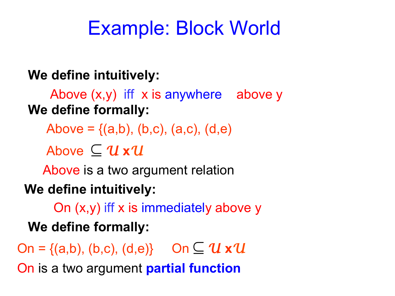#### **We define intuitively:**

Above (x,y) iff x is anywhere above y **We define formally:**

Above =  $\{(a,b), (b,c), (a,c), (d,e)\}$ 

Above ⊆ *U* **x***U*

Above is a two argument relation

#### **We define intuitively:**

On (x,y) iff x is immediately above y  **We define formally:**

On = {(a,b), (b,c), (d,e)} On  $\subseteq U \times U$ 

On is a two argument **partial function**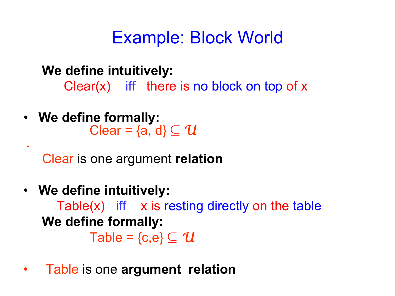**We define intuitively:** 

 $Clear(x)$  iff there is no block on top of x

• **We define formally:** Clear = {a, d} ⊆ *U* 

*•* 

Clear is one argument **relation** 

- **We define intuitively:**  Table $(x)$  iff  $x$  is resting directly on the table  **We define formally:** Table =  $\{c,e\} \subseteq U$
- Table is one **argument relation**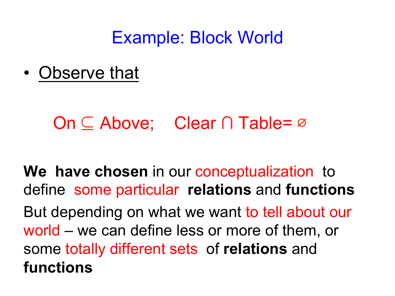• Observe that

#### On ⊆ Above; Clear ∩ Table= ∅

**We have chosen** in our conceptualization to define some particular **relations** and **functions** But depending on what we want to tell about our world – we can define less or more of them, or some totally different sets of **relations** and **functions**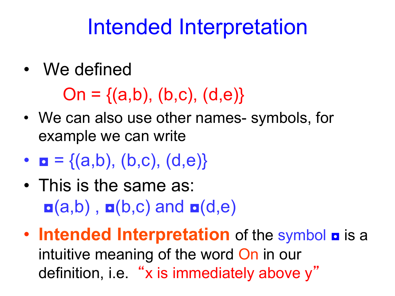## Intended Interpretation

• We defined

 $On = \{(a,b), (b,c), (d,e)\}$ 

- We can also use other names- symbols, for example we can write
- $$
- This is the same as:  $\mathbf{a}$ (a,b),  $\mathbf{a}$ (b,c) and  $\mathbf{a}$ (d,e)
- **Intended Interpretation** of the symbol **a** is a intuitive meaning of the word On in our definition, i.e. "x is immediately above y"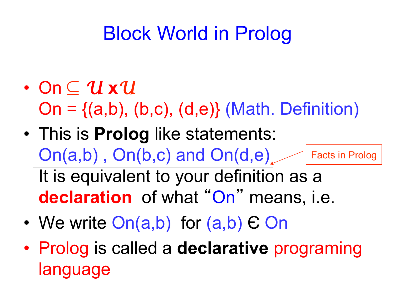## Block World in Prolog

- On ⊆ *U* **x***U*   $On = \{(a,b), (b,c), (d,e)\}$  (Math. Definition)
- This is **Prolog** like statements: On(a,b) , On(b,c) and On(d,e) It is equivalent to your definition as a **declaration** of what "On" means, i.e. Facts in Prolog
- We write On(a,b) for (a,b)  $\epsilon$  On
- Prolog is called a **declarative** programing language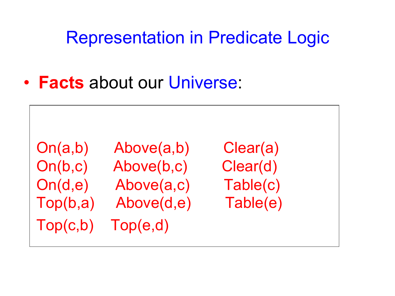Representation in Predicate Logic

• **Facts** about our Universe:

Top(c,b) Top(e,d)

 On(a,b) Above(a,b) Clear(a) On(b,c) Above(b,c) Clear(d) On(d,e) Above(a,c) Table(c) Top(b,a) Above(d,e) Table(e)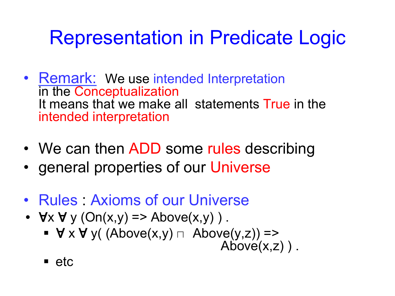## Representation in Predicate Logic

- Remark: We use intended Interpretation in the Conceptualization It means that we make all statements True in the intended interpretation
- We can then ADD some rules describing
- general properties of our Universe
- Rules Axioms of our Universe
- $\forall x \forall y (On(x,y) \Rightarrow \text{Above}(x,y))$ .
	- $\forall x \forall y ( (Above(x,y) \sqcap Above(y,z)) \Rightarrow$  Above(x,z)).
	- $\blacksquare$  etc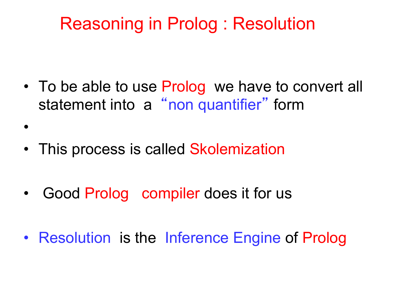#### Reasoning in Prolog : Resolution

- To be able to use Prolog we have to convert all statement into a "non quantifier" form
- This process is called Skolemization

•

- Good Prolog compiler does it for us
- Resolution is the Inference Engine of Prolog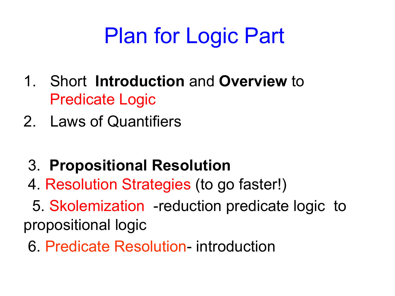# Plan for Logic Part

- 1. Short **Introduction** and **Overview** to Predicate Logic
- 2. Laws of Quantifiers
	- 3. **Propositional Resolution**
	- 4. Resolution Strategies (to go faster!)

 5. Skolemization -reduction predicate logic to propositional logic

6. Predicate Resolution- introduction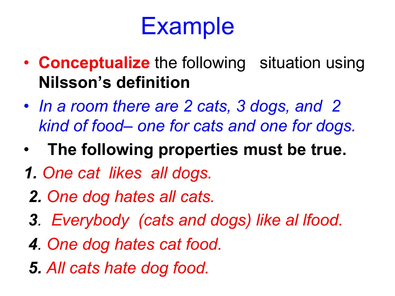# **Example**

- **Conceptualize** the following situation using **Nilsson's definition**
- *In a room there are 2 cats, 3 dogs, and 2 kind of food– one for cats and one for dogs.*
- •**The following properties must be true.**
- *1. One cat likes all dogs.*
- *2. One dog hates all cats.*
- *3. Everybody (cats and dogs) like al lfood.*
- *4. One dog hates cat food.*
- *5. All cats hate dog food.*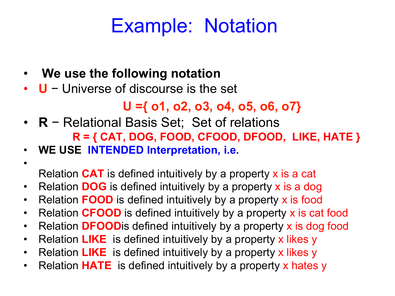### Example: Notation

- • **We use the following notation**
- **U** − Universe of discourse is the set

#### **U ={ o1, o2, o3, o4, o5, o6, o7}**

- **R** − Relational Basis Set; Set of relations  **R = { CAT, DOG, FOOD, CFOOD, DFOOD, LIKE, HATE }**
- **WE USE INTENDED Interpretation, i.e.**
- •

Relation **CAT** is defined intuitively by a property x is a cat

- Relation **DOG** is defined intuitively by a property x is a dog
- Relation **FOOD** is defined intuitively by a property x is food
- Relation **CFOOD** is defined intuitively by a property x is cat food
- Relation **DFOOD**is defined intuitively by a property x is dog food
- Relation **LIKE** is defined intuitively by a property x likes y
- Relation **LIKE** is defined intuitively by a property x likes y
- Relation **HATE** is defined intuitively by a property x hates y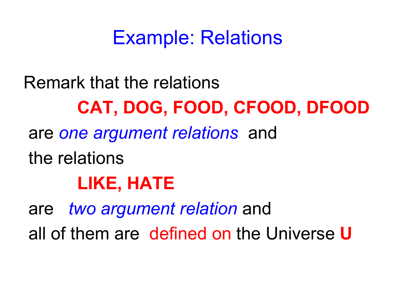### Example: Relations

Remark that the relations  **CAT, DOG, FOOD, CFOOD, DFOOD**  are *one argument relations* and the relations  **LIKE, HATE**  are *two argument relation* and all of them are defined on the Universe **U**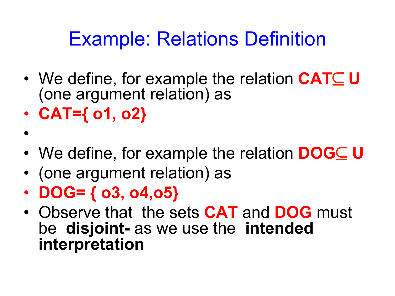### Example: Relations Definition

- We define, for example the relation **CAT**⊆ **U**  (one argument relation) as
- **CAT={ o1, o2}**

•

- We define, for example the relation **DOG**⊆ **U**
- (one argument relation) as
- **DOG= { o3, o4,o5}**
- Observe that the sets **CAT** and **DOG** must be **disjoint-** as we use the **intended interpretation**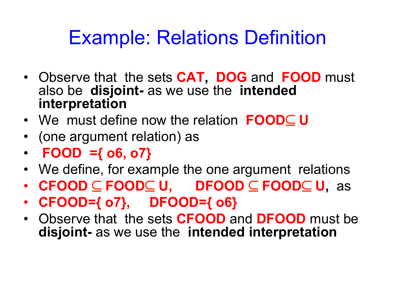### Example: Relations Definition

- Observe that the sets **CAT, DOG** and **FOOD** must also be **disjoint-** as we use the **intended interpretation**
- We must define now the relation **FOOD**⊆ **U**
- (one argument relation) as
- **FOOD ={ o6, o7}**
- We define, for example the one argument relations
- **CFOOD** ⊆ **FOOD**⊆ **U, DFOOD** ⊆ **FOOD**⊆ **U,** as
- **CFOOD={ o7}, DFOOD={ o6}**
- Observe that the sets **CFOOD** and **DFOOD** must be **disjoint-** as we use the **intended interpretation**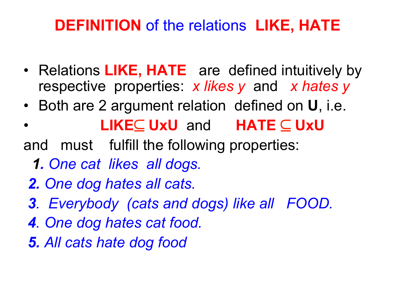#### **DEFINITION** of the relations **LIKE, HATE**

- Relations **LIKE, HATE** are defined intuitively by respective properties: *x likes y* and *x hates y*
- Both are 2 argument relation defined on **U**, i.e.
- **LIKE**⊆ **UxU** and **HATE** ⊆ **UxU**
- and must fulfill the following properties:
	- *1. One cat likes all dogs.*
	- *2. One dog hates all cats.*
	- *3. Everybody (cats and dogs) like all FOOD.*
	- *4. One dog hates cat food.*
	- *5. All cats hate dog food*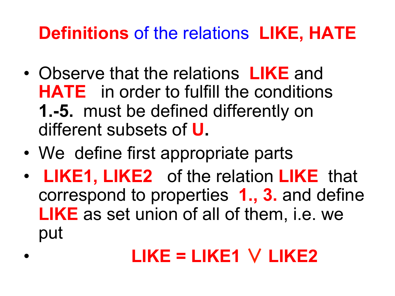## **Definitions** of the relations **LIKE, HATE**

- Observe that the relations **LIKE** and **HATE** in order to fulfill the conditions **1.-5.** must be defined differently on different subsets of **U.**
- We define first appropriate parts
- **LIKE1, LIKE2** of the relation **LIKE** that correspond to properties **1., 3.** and define **LIKE** as set union of all of them, i.e. we put

## • **LIKE = LIKE1** ∨ **LIKE2**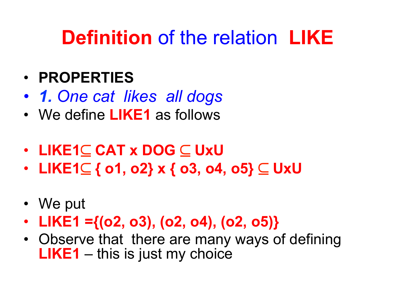- *1. One cat likes all dogs*
- We define **LIKE1** as follows
- **LIKE1**⊆ **CAT x DOG** ⊆ **UxU**
- **LIKE1**⊆ **{ o1, o2} x { o3, o4, o5}** ⊆ **UxU**
- We put
- **LIKE1 ={(o2, o3), (o2, o4), (o2, o5)}**
- Observe that there are many ways of defining **LIKE1** – this is just my choice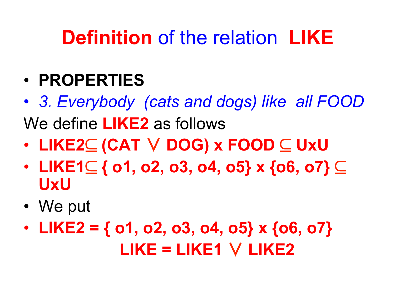- **PROPERTIES**
- *3. Everybody (cats and dogs) like all FOOD*  We define **LIKE2** as follows
- **LIKE2**⊆ **(CAT** ∨ **DOG) x FOOD** ⊆ **UxU**
- **LIKE1**⊆ **{ o1, o2, o3, o4, o5} x {o6, o7}** ⊆ **UxU**
- We put
- **LIKE2 = { o1, o2, o3, o4, o5} x {o6, o7} LIKE = LIKE1** ∨ **LIKE2**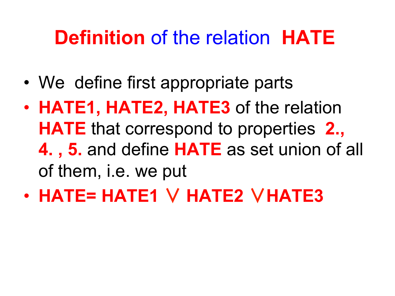- We define first appropriate parts
- **HATE1, HATE2, HATE3** of the relation **HATE** that correspond to properties **2., 4. , 5.** and define **HATE** as set union of all of them, i.e. we put
- **HATE= HATE1** ∨ **HATE2** ∨**HATE3**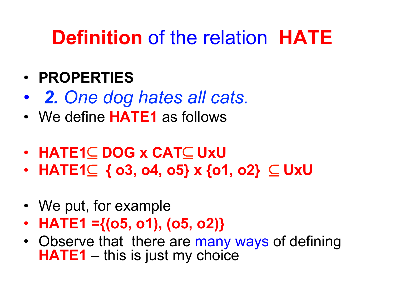- • *2. One dog hates all cats.*
- We define **HATE1** as follows
- **HATE1**⊆ **DOG x CAT**⊆ **UxU**
- **HATE1**⊆ **{ o3, o4, o5} x {o1, o2}** ⊆ **UxU**
- We put, for example
- **HATE1 ={(o5, o1), (o5, o2)}**
- Observe that there are many ways of defining **HATE1** – this is just my choice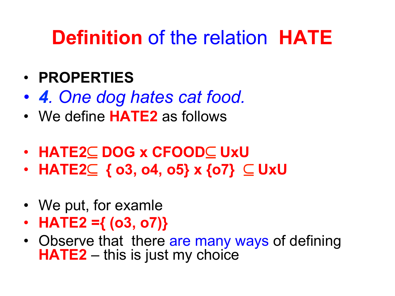- *4. One dog hates cat food.*
- We define **HATE2** as follows
- **HATE2**⊆ **DOG x CFOOD**⊆ **UxU**
- **HATE2**⊆ **{ o3, o4, o5} x {o7}** ⊆ **UxU**
- We put, for examle
- **HATE2 ={ (o3, o7)}**
- Observe that there are many ways of defining **HATE2** – this is just my choice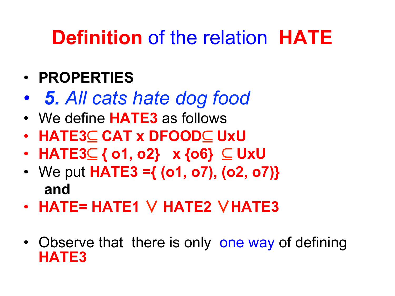- • *5. All cats hate dog food*
- We define **HATE3** as follows
- **HATE3**⊆ **CAT x DFOOD**⊆ **UxU**
- **HATE3**⊆ **{ o1, o2} x {o6}** ⊆ **UxU**
- We put **HATE3 ={ (o1, o7), (o2, o7)} and**
- **HATE= HATE1** ∨ **HATE2** ∨**HATE3**
- Observe that there is only one way of defining **HATE3**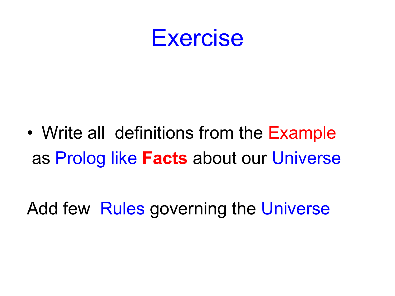

• Write all definitions from the Example as Prolog like **Facts** about our Universe

Add few Rules governing the Universe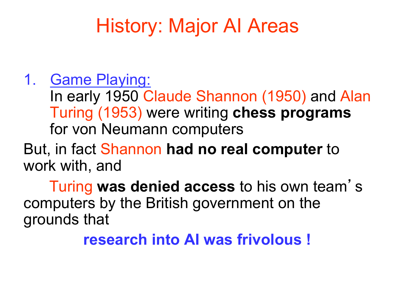#### 1. Game Playing:

In early 1950 Claude Shannon (1950) and Alan Turing (1953) were writing **chess programs**  for von Neumann computers

But, in fact Shannon **had no real computer** to work with, and

 Turing **was denied access** to his own team' s computers by the British government on the grounds that

 **research into AI was frivolous !**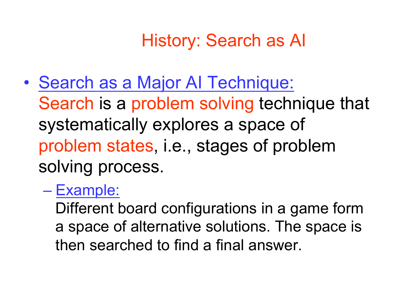### History: Search as AI

- Search as a Major AI Technique: Search is a problem solving technique that systematically explores a space of problem states, i.e., stages of problem solving process.
	- Example:

Different board configurations in a game form a space of alternative solutions. The space is then searched to find a final answer.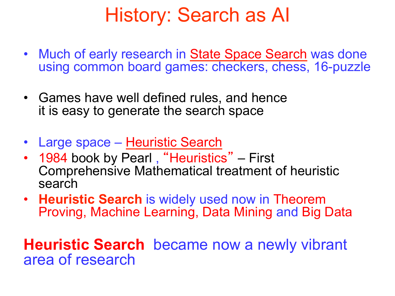## History: Search as AI

- Much of early research in State Space Search was done using common board games: checkers, chess, 16-puzzle
- Games have well defined rules, and hence it is easy to generate the search space
- Large space Heuristic Search
- 1984 book by Pearl, "Heuristics" First Comprehensive Mathematical treatment of heuristic search
- **Heuristic Search** is widely used now in Theorem Proving, Machine Learning, Data Mining and Big Data

**Heuristic Search** became now a newly vibrant area of research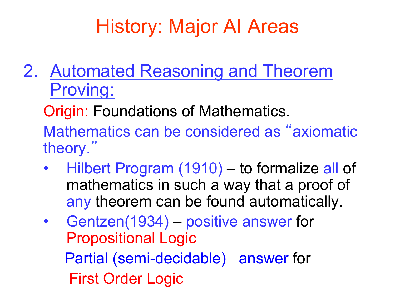2. Automated Reasoning and Theorem Proving:

Origin: Foundations of Mathematics.

Mathematics can be considered as "axiomatic theory."

- Hilbert Program (1910) to formalize all of mathematics in such a way that a proof of any theorem can be found automatically.
- Gentzen(1934) positive answer for Propositional Logic Partial (semi-decidable) answer for First Order Logic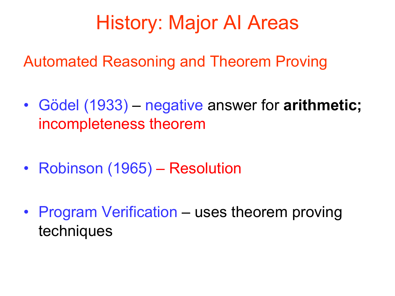Automated Reasoning and Theorem Proving

- Gödel (1933) negative answer for **arithmetic;** incompleteness theorem
- Robinson (1965) Resolution
- Program Verification uses theorem proving techniques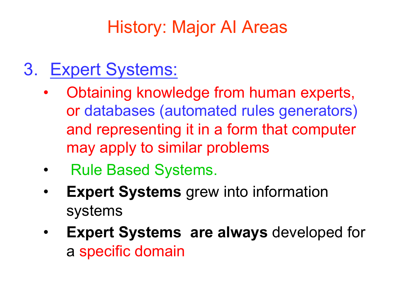#### 3. Expert Systems:

- Obtaining knowledge from human experts, or databases (automated rules generators) and representing it in a form that computer may apply to similar problems
- Rule Based Systems.
- **Expert Systems** grew into information systems
- **Expert Systems are always** developed for a specific domain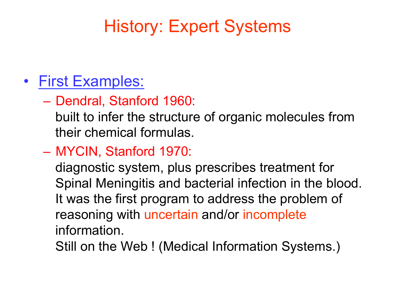### History: Expert Systems

#### • First Examples:

– Dendral, Stanford 1960:

built to infer the structure of organic molecules from their chemical formulas.

– MYCIN, Stanford 1970:

diagnostic system, plus prescribes treatment for Spinal Meningitis and bacterial infection in the blood. It was the first program to address the problem of reasoning with uncertain and/or incomplete information.

Still on the Web ! (Medical Information Systems.)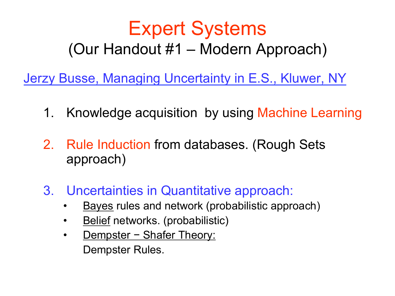### Expert Systems (Our Handout #1 – Modern Approach)

Jerzy Busse, Managing Uncertainty in E.S., Kluwer, NY

- 1. Knowledge acquisition by using Machine Learning
- 2. Rule Induction from databases. (Rough Sets approach)
- 3. Uncertainties in Quantitative approach:
	- **Bayes rules and network (probabilistic approach)**
	- Belief networks. (probabilistic)
	- Dempster Shafer Theory: Dempster Rules.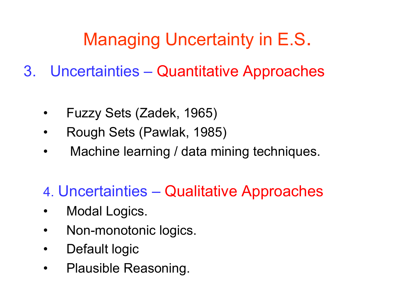## Managing Uncertainty in E.S.

- 3. Uncertainties Quantitative Approaches
	- Fuzzy Sets (Zadek, 1965)
	- Rough Sets (Pawlak, 1985)
	- Machine learning / data mining techniques.
	- 4. Uncertainties Qualitative Approaches
	- Modal Logics.
	- Non-monotonic logics.
	- Default logic
	- Plausible Reasoning.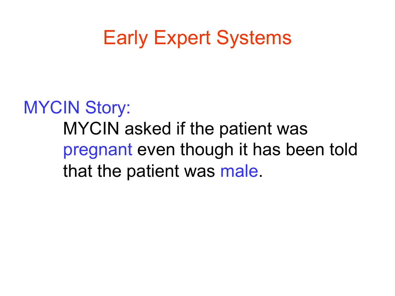## Early Expert Systems

MYCIN Story: MYCIN asked if the patient was pregnant even though it has been told that the patient was male.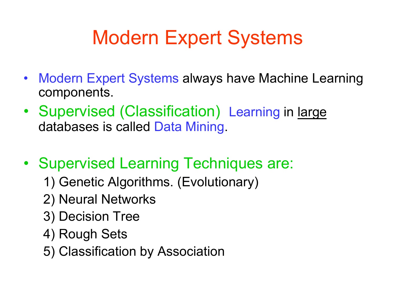## Modern Expert Systems

- Modern Expert Systems always have Machine Learning components.
- Supervised (Classification) Learning in large databases is called Data Mining.
- Supervised Learning Techniques are:
	- 1) Genetic Algorithms. (Evolutionary)
	- 2) Neural Networks
	- 3) Decision Tree
	- 4) Rough Sets
	- 5) Classification by Association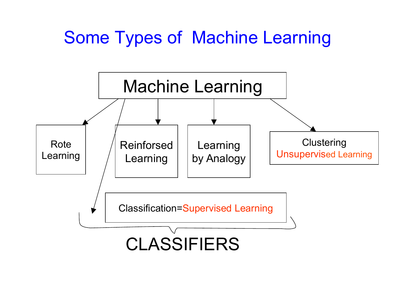### Some Types of Machine Learning

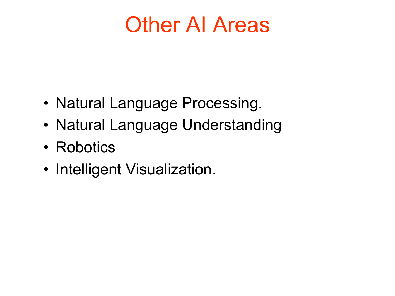# Other AI Areas

- Natural Language Processing.
- Natural Language Understanding
- Robotics
- Intelligent Visualization.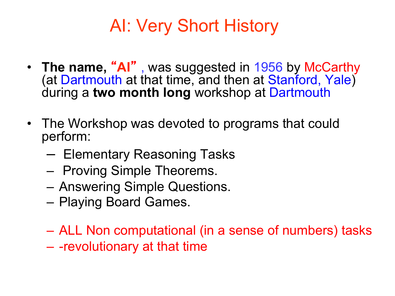### AI: Very Short History

- **The name,** "**AI**" , was suggested in 1956 by McCarthy (at Dartmouth at that time, and then at Stanford, Yale) during a **two month long** workshop at Dartmouth
- The Workshop was devoted to programs that could perform:
	- Elementary Reasoning Tasks
	- Proving Simple Theorems.
	- Answering Simple Questions.
	- Playing Board Games.
	- ALL Non computational (in a sense of numbers) tasks
	- -revolutionary at that time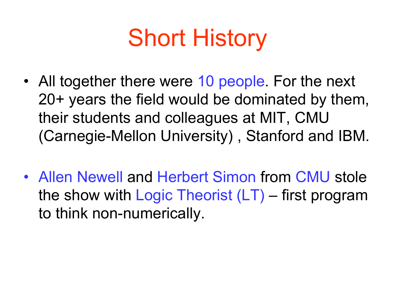# Short History

- All together there were 10 people. For the next 20+ years the field would be dominated by them, their students and colleagues at MIT, CMU (Carnegie-Mellon University) , Stanford and IBM.
- Allen Newell and Herbert Simon from CMU stole the show with Logic Theorist (LT) – first program to think non-numerically.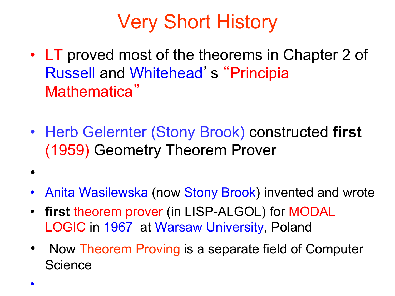- LT proved most of the theorems in Chapter 2 of Russell and Whitehead' s "Principia Mathematica"
- Herb Gelernter (Stony Brook) constructed **first** (1959) Geometry Theorem Prover
- Anita Wasilewska (now Stony Brook) invented and wrote
- **first** theorem prover (in LISP-ALGOL) for MODAL LOGIC in 1967 at Warsaw University, Poland
- Now Theorem Proving is a separate field of Computer **Science**

•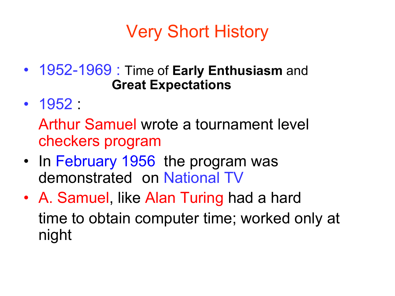- 1952-1969 : Time of **Early Enthusiasm** and **Great Expectations**
- 1952 :

Arthur Samuel wrote a tournament level checkers program

- In February 1956 the program was demonstrated on National TV
- A. Samuel, like Alan Turing had a hard time to obtain computer time; worked only at night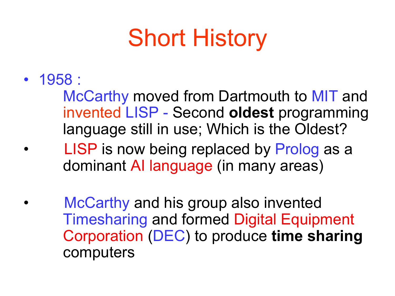# Short History

• 1958 :

McCarthy moved from Dartmouth to MIT and invented LISP - Second **oldest** programming language still in use; Which is the Oldest?

- LISP is now being replaced by Prolog as a dominant AI language (in many areas)
- McCarthy and his group also invented Timesharing and formed Digital Equipment Corporation (DEC) to produce **time sharing**  computers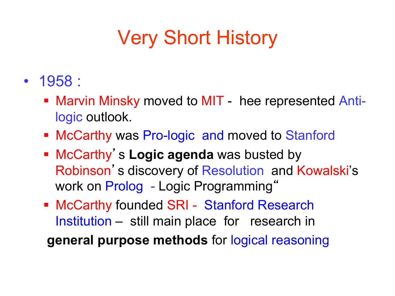- 1958 :
	- Marvin Minsky moved to MIT hee represented Antilogic outlook.
	- McCarthy was Pro-logic and moved to Stanford
	- **EXPLOM EXAGGE IS CONCOCCO EXAGGE ASSESSMENT PROCART INCOCOCO EXAMPLE <b>ISSUES** Robinson's discovery of Resolution and Kowalski's work on Prolog - Logic Programming"
	- McCarthy founded SRI Stanford Research Institution – still main place for research in

**general purpose methods** for logical reasoning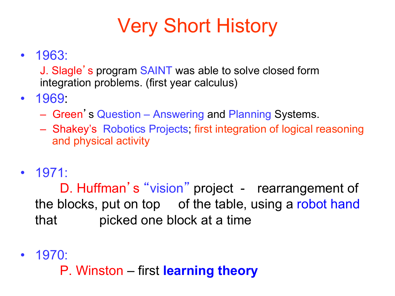• 1963:

J. Slagle's program SAINT was able to solve closed form integration problems. (first year calculus)

- 1969:
	- Green' s Question Answering and Planning Systems.
	- Shakey's Robotics Projects; first integration of logical reasoning and physical activity
- 1971:

D. Huffman' s "vision" project - rearrangement of the blocks, put on top of the table, using a robot hand that picked one block at a time

- 1970:
	- P. Winston first **learning theory**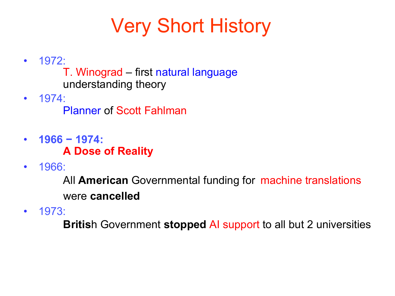- 1972:
	- T. Winograd first natural language understanding theory
- 1974:

Planner of Scott Fahlman

- **1966 − 1974: A Dose of Reality**
- 1966:

All **American** Governmental funding for machine translations were **cancelled**

• 1973:

**Britis**h Government **stopped** AI support to all but 2 universities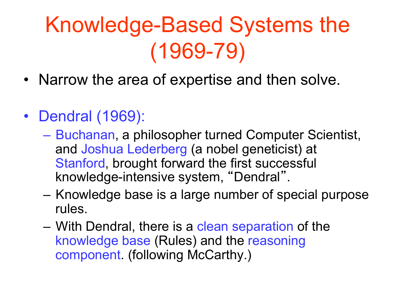# Knowledge-Based Systems the (1969-79)

- Narrow the area of expertise and then solve.
- Dendral (1969):
	- Buchanan, a philosopher turned Computer Scientist, and Joshua Lederberg (a nobel geneticist) at Stanford, brought forward the first successful knowledge-intensive system, "Dendral".
	- Knowledge base is a large number of special purpose rules.
	- With Dendral, there is a clean separation of the knowledge base (Rules) and the reasoning component. (following McCarthy.)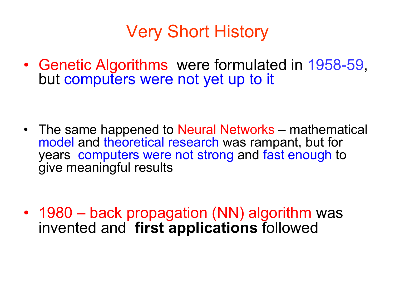• Genetic Algorithms were formulated in 1958-59, but computers were not yet up to it

• The same happened to Neural Networks – mathematical model and theoretical research was rampant, but for years computers were not strong and fast enough to give meaningful results

• 1980 – back propagation (NN) algorithm was invented and **first applications** followed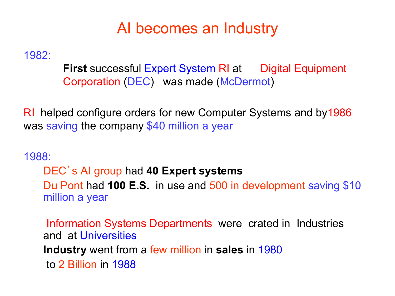#### AI becomes an Industry

1982:

**First** successful Expert System RI at Digital Equipment Corporation (DEC) was made (McDermot)

RI helped configure orders for new Computer Systems and by1986 was saving the company \$40 million a year

1988:

DEC' s AI group had **40 Expert systems** 

Du Pont had **100 E.S.** in use and 500 in development saving \$10 million a year

 Information Systems Departments were crated in Industries and at Universities **Industry** went from a few million in **sales** in 1980 to 2 Billion in 1988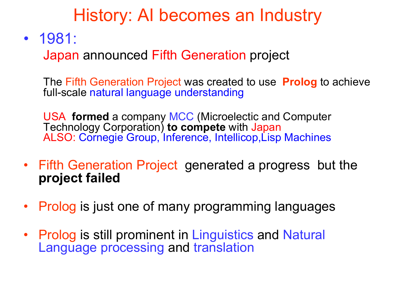#### History: AI becomes an Industry

• 1981:

Japan announced Fifth Generation project

The Fifth Generation Project was created to use **Prolog** to achieve full-scale natural language understanding

USA **formed** a company MCC (Microelectic and Computer Technology Corporation) **to compete** with Japan ALSO: Cornegie Group, Inference, Intellicop,Lisp Machines

- Fifth Generation Project generated a progress but the **project failed**
- Prolog is just one of many programming languages
- Prolog is still prominent in Linguistics and Natural Language processing and translation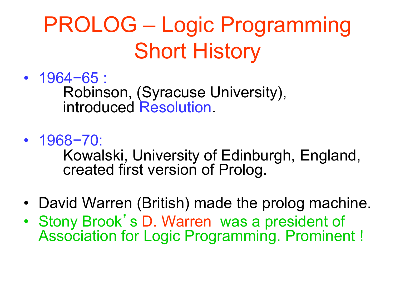# PROLOG – Logic Programming Short History

- 1964−65 : Robinson, (Syracuse University), introduced Resolution.
- 1968−70: Kowalski, University of Edinburgh, England, created first version of Prolog.
- David Warren (British) made the prolog machine.
- Stony Brook' s D. Warren was a president of Association for Logic Programming. Prominent !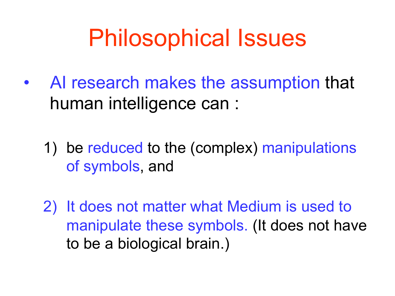# Philosophical Issues

- AI research makes the assumption that human intelligence can :
	- 1) be reduced to the (complex) manipulations of symbols, and
	- 2) It does not matter what Medium is used to manipulate these symbols. (It does not have to be a biological brain.)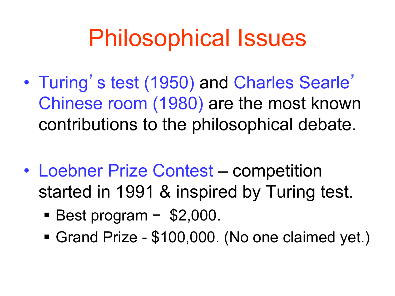# Philosophical Issues

- Turing's test (1950) and Charles Searle' Chinese room (1980) are the most known contributions to the philosophical debate.
- Loebner Prize Contest competition started in 1991 & inspired by Turing test.
	- Best program \$2,000.
	- Grand Prize \$100,000. (No one claimed yet.)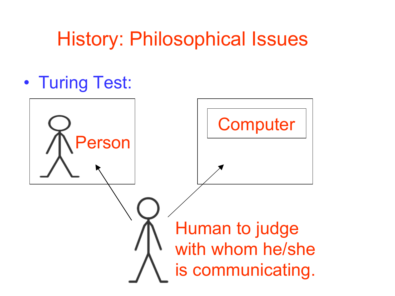## History: Philosophical Issues

• Turing Test:

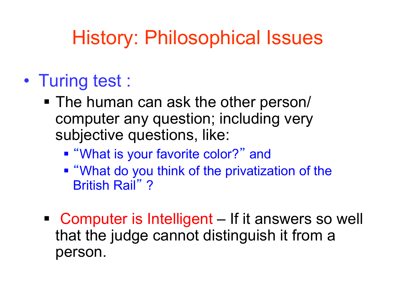## History: Philosophical Issues

### • Turing test :

- The human can ask the other person/ computer any question; including very subjective questions, like:
	- "What is your favorite color?" and
	- "What do you think of the privatization of the British Rail" ?
- Computer is Intelligent If it answers so well that the judge cannot distinguish it from a person.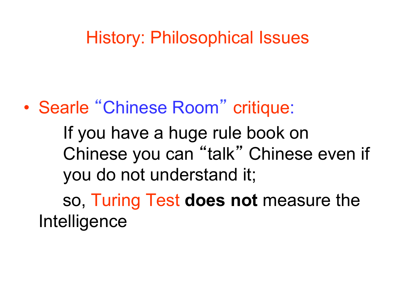#### History: Philosophical Issues

### • Searle "Chinese Room" critique:

If you have a huge rule book on Chinese you can "talk" Chinese even if you do not understand it;

 so, Turing Test **does not** measure the Intelligence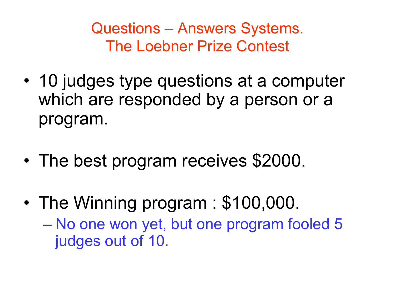Questions – Answers Systems. The Loebner Prize Contest

- 10 judges type questions at a computer which are responded by a person or a program.
- The best program receives \$2000.
- The Winning program : \$100,000. – No one won yet, but one program fooled 5 judges out of 10.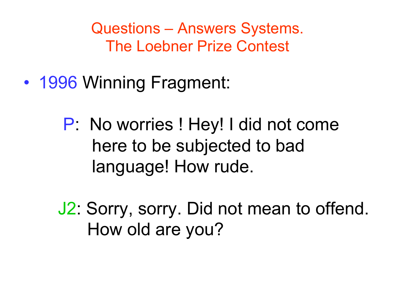Questions – Answers Systems. The Loebner Prize Contest

- 1996 Winning Fragment:
	- P: No worries ! Hey! I did not come here to be subjected to bad language! How rude.

 J2: Sorry, sorry. Did not mean to offend. How old are you?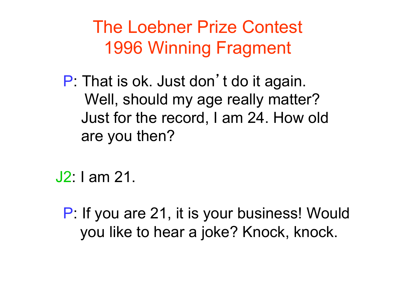The Loebner Prize Contest 1996 Winning Fragment

P: That is ok. Just don't do it again. Well, should my age really matter? Just for the record, I am 24. How old are you then?

J2: I am 21.

P: If you are 21, it is your business! Would you like to hear a joke? Knock, knock.